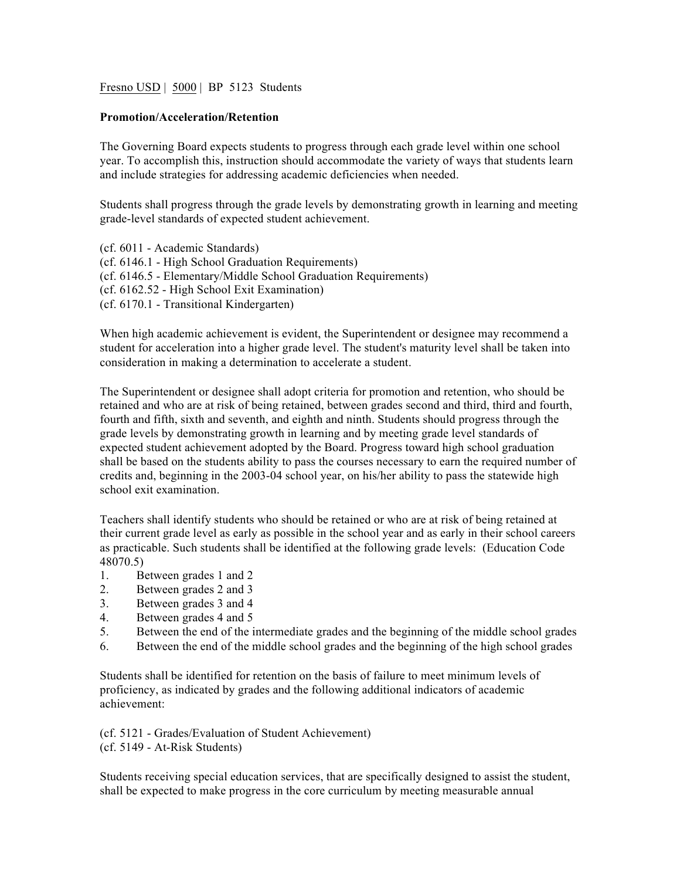Fresno USD | 5000 | BP 5123 Students

## **Promotion/Acceleration/Retention**

The Governing Board expects students to progress through each grade level within one school year. To accomplish this, instruction should accommodate the variety of ways that students learn and include strategies for addressing academic deficiencies when needed.

Students shall progress through the grade levels by demonstrating growth in learning and meeting grade-level standards of expected student achievement.

(cf. 6011 - Academic Standards) (cf. 6146.1 - High School Graduation Requirements) (cf. 6146.5 - Elementary/Middle School Graduation Requirements) (cf. 6162.52 - High School Exit Examination) (cf. 6170.1 - Transitional Kindergarten)

When high academic achievement is evident, the Superintendent or designee may recommend a student for acceleration into a higher grade level. The student's maturity level shall be taken into consideration in making a determination to accelerate a student.

The Superintendent or designee shall adopt criteria for promotion and retention, who should be retained and who are at risk of being retained, between grades second and third, third and fourth, fourth and fifth, sixth and seventh, and eighth and ninth. Students should progress through the grade levels by demonstrating growth in learning and by meeting grade level standards of expected student achievement adopted by the Board. Progress toward high school graduation shall be based on the students ability to pass the courses necessary to earn the required number of credits and, beginning in the 2003-04 school year, on his/her ability to pass the statewide high school exit examination.

Teachers shall identify students who should be retained or who are at risk of being retained at their current grade level as early as possible in the school year and as early in their school careers as practicable. Such students shall be identified at the following grade levels: (Education Code 48070.5)

- 1. Between grades 1 and 2
- 2. Between grades 2 and 3
- 3. Between grades 3 and 4
- 4. Between grades 4 and 5
- 5. Between the end of the intermediate grades and the beginning of the middle school grades
- 6. Between the end of the middle school grades and the beginning of the high school grades

Students shall be identified for retention on the basis of failure to meet minimum levels of proficiency, as indicated by grades and the following additional indicators of academic achievement:

(cf. 5121 - Grades/Evaluation of Student Achievement)

(cf. 5149 - At-Risk Students)

Students receiving special education services, that are specifically designed to assist the student, shall be expected to make progress in the core curriculum by meeting measurable annual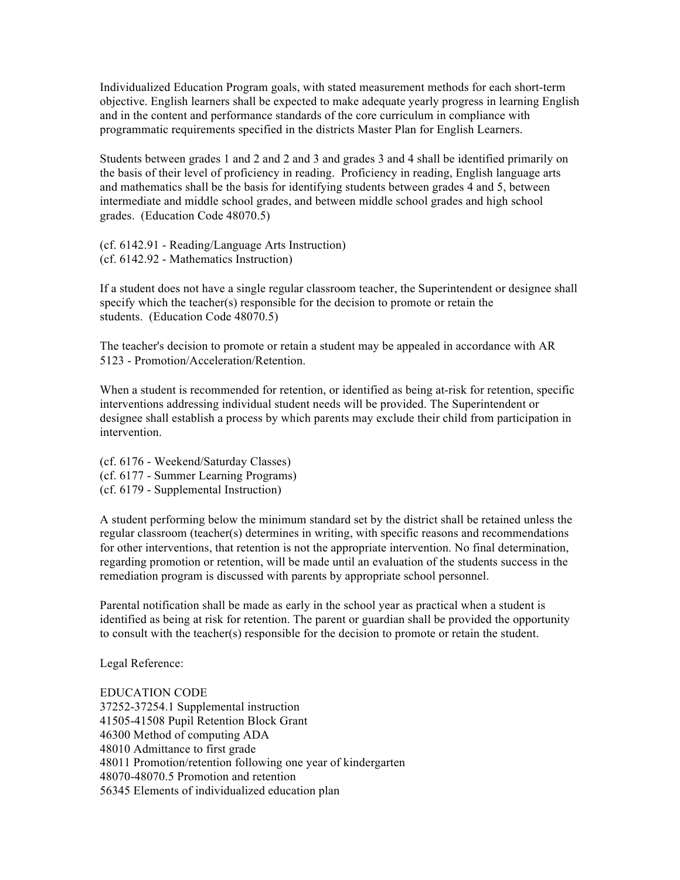Individualized Education Program goals, with stated measurement methods for each short-term objective. English learners shall be expected to make adequate yearly progress in learning English and in the content and performance standards of the core curriculum in compliance with programmatic requirements specified in the districts Master Plan for English Learners.

Students between grades 1 and 2 and 2 and 3 and grades 3 and 4 shall be identified primarily on the basis of their level of proficiency in reading. Proficiency in reading, English language arts and mathematics shall be the basis for identifying students between grades 4 and 5, between intermediate and middle school grades, and between middle school grades and high school grades. (Education Code 48070.5)

(cf. 6142.91 - Reading/Language Arts Instruction) (cf. 6142.92 - Mathematics Instruction)

If a student does not have a single regular classroom teacher, the Superintendent or designee shall specify which the teacher(s) responsible for the decision to promote or retain the students. (Education Code 48070.5)

The teacher's decision to promote or retain a student may be appealed in accordance with AR 5123 - Promotion/Acceleration/Retention.

When a student is recommended for retention, or identified as being at-risk for retention, specific interventions addressing individual student needs will be provided. The Superintendent or designee shall establish a process by which parents may exclude their child from participation in intervention.

(cf. 6176 - Weekend/Saturday Classes) (cf. 6177 - Summer Learning Programs) (cf. 6179 - Supplemental Instruction)

A student performing below the minimum standard set by the district shall be retained unless the regular classroom (teacher(s) determines in writing, with specific reasons and recommendations for other interventions, that retention is not the appropriate intervention. No final determination, regarding promotion or retention, will be made until an evaluation of the students success in the remediation program is discussed with parents by appropriate school personnel.

Parental notification shall be made as early in the school year as practical when a student is identified as being at risk for retention. The parent or guardian shall be provided the opportunity to consult with the teacher(s) responsible for the decision to promote or retain the student.

Legal Reference:

EDUCATION CODE 37252-37254.1 Supplemental instruction 41505-41508 Pupil Retention Block Grant 46300 Method of computing ADA 48010 Admittance to first grade 48011 Promotion/retention following one year of kindergarten 48070-48070.5 Promotion and retention 56345 Elements of individualized education plan